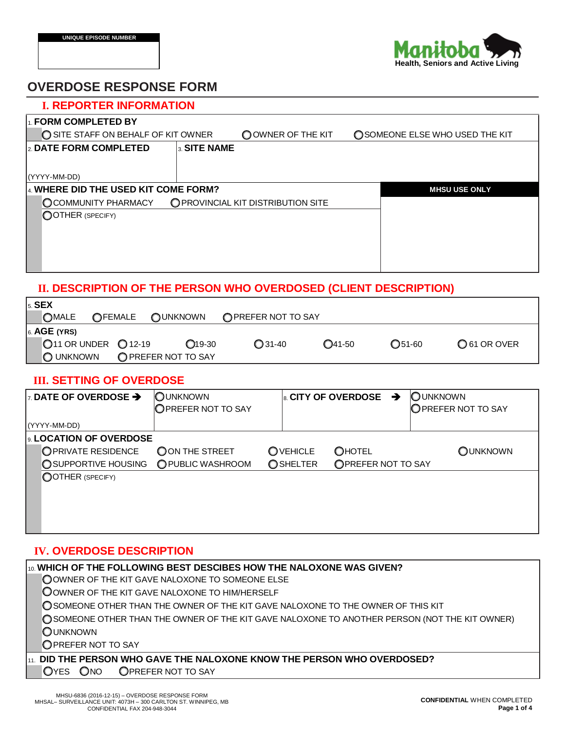

# **OVERDOSE RESPONSE FORM**

| <b>I. REPORTER INFORMATION</b>               |                                    |                                 |
|----------------------------------------------|------------------------------------|---------------------------------|
| $\mathsf{I}_1$ FORM COMPLETED BY             |                                    |                                 |
| SITE STAFF ON BEHALF OF KIT OWNER            | OOWNER OF THE KIT                  | O SOMEONE ELSE WHO USED THE KIT |
| 2. DATE FORM COMPLETED<br>3. SITE NAME       |                                    |                                 |
|                                              |                                    |                                 |
| (YYYY-MM-DD)                                 |                                    |                                 |
| $\vert$ 4. WHERE DID THE USED KIT COME FORM? |                                    | <b>MHSU USE ONLY</b>            |
| <b>OCOMMUNITY PHARMACY</b>                   | O PROVINCIAL KIT DISTRIBUTION SITE |                                 |
| OOTHER (SPECIFY)                             |                                    |                                 |
|                                              |                                    |                                 |
|                                              |                                    |                                 |
|                                              |                                    |                                 |
|                                              |                                    |                                 |

# **II. DESCRIPTION OF THE PERSON WHO OVERDOSED (CLIENT DESCRIPTION)**

| $5.$ SEX       |                                         |                     |                     |           |                  |              |
|----------------|-----------------------------------------|---------------------|---------------------|-----------|------------------|--------------|
| <b>OMALE</b>   | OFEMALE                                 | OUNKNOWN            | O PREFER NOT TO SAY |           |                  |              |
| $6.$ AGE (YRS) |                                         |                     |                     |           |                  |              |
|                | $\bigcirc$ 11 OR UNDER $\bigcirc$ 12-19 | $O$ 19-30           | $Q$ 31-40           | $Q$ 41-50 | $\bigcirc$ 51-60 | O 61 OR OVER |
| O UNKNOWN      |                                         | O PREFER NOT TO SAY |                     |           |                  |              |

# **III. SETTING OF OVERDOSE**

| <b>EXAMPLE OF OVERDOSE <math>\rightarrow</math></b> | <b>OUNKNOWN</b><br>OPREFER NOT TO SAY |                  | $\vert$ 8. CITY OF OVERDOSE<br>→ | <b>OUNKNOWN</b><br>OPREFER NOT TO SAY |
|-----------------------------------------------------|---------------------------------------|------------------|----------------------------------|---------------------------------------|
| (YYYY-MM-DD)                                        |                                       |                  |                                  |                                       |
| اءِ LOCATION OF OVERDOSE                            |                                       |                  |                                  |                                       |
| OPRIVATE RESIDENCE                                  | OON THE STREET                        | OVEHICLE         | <b>OHOTEL</b>                    | OUNKNOWN                              |
| <b>O SUPPORTIVE HOUSING</b>                         | O PUBLIC WASHROOM                     | <b>O</b> SHELTER | OPREFER NOT TO SAY               |                                       |
| OOTHER (SPECIFY)                                    |                                       |                  |                                  |                                       |
|                                                     |                                       |                  |                                  |                                       |
|                                                     |                                       |                  |                                  |                                       |
|                                                     |                                       |                  |                                  |                                       |
|                                                     |                                       |                  |                                  |                                       |

### **IV. OVERDOSE DESCRIPTION**

| $ {\scriptstyle\text{10}}$ WHICH OF THE FOLLOWING BEST DESCIBES HOW THE NALOXONE WAS GIVEN?   |
|-----------------------------------------------------------------------------------------------|
| OOWNER OF THE KIT GAVE NALOXONE TO SOMEONE ELSE                                               |
| OOWNER OF THE KIT GAVE NALOXONE TO HIM/HERSELF                                                |
| O SOMEONE OTHER THAN THE OWNER OF THE KIT GAVE NALOXONE TO THE OWNER OF THIS KIT              |
| ◯ SOMEONE OTHER THAN THE OWNER OF THE KIT GAVE NALOXONE TO ANOTHER PERSON (NOT THE KIT OWNER) |
| <b>OUNKNOWN</b>                                                                               |
| OPREFER NOT TO SAY                                                                            |
| $\rm _{11.}$ DID THE PERSON WHO GAVE THE NALOXONE KNOW THE PERSON WHO OVERDOSED?              |

OYES ONO OPREFER NOT TO SAY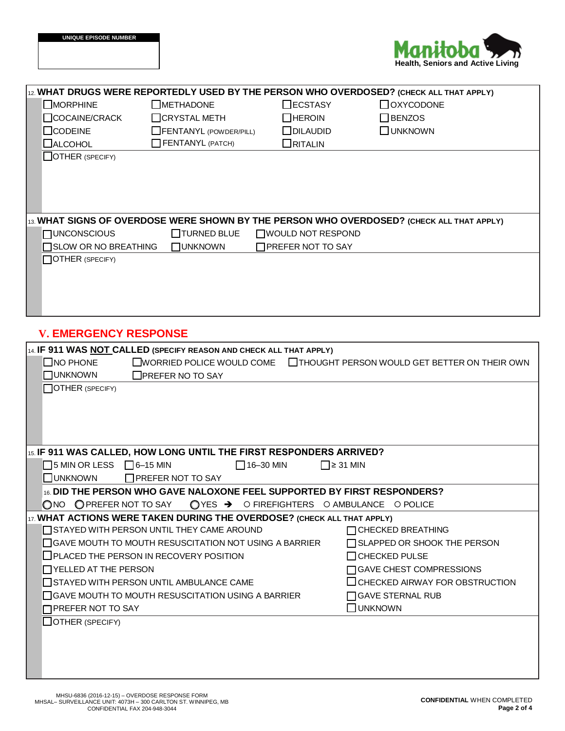

| 12. WHAT DRUGS WERE REPORTEDLY USED BY THE PERSON WHO OVERDOSED? (CHECK ALL THAT APPLY)   |                                              |
|-------------------------------------------------------------------------------------------|----------------------------------------------|
| $\Box$ MORPHINE<br><b>OMETHADONE</b><br>$\Box$ ECSTASY                                    | <b>OXYCODONE</b>                             |
| COCAINE/CRACK<br>$\Box$ CRYSTAL METH<br>$\Box$ HEROIN                                     | $\Box$ BENZOS                                |
| $\Box$ CODEINE<br>$\Box$ DILAUDID<br>FENTANYL (POWDER/PILL)                               | <b>UNKNOWN</b>                               |
| FENTANYL (PATCH)<br><b>ORITALIN</b>                                                       |                                              |
| $\Box$ ALCOHOL                                                                            |                                              |
| $\Box$ OTHER (SPECIFY)                                                                    |                                              |
|                                                                                           |                                              |
|                                                                                           |                                              |
|                                                                                           |                                              |
|                                                                                           |                                              |
| 13. WHAT SIGNS OF OVERDOSE WERE SHOWN BY THE PERSON WHO OVERDOSED? (CHECK ALL THAT APPLY) |                                              |
| $\Box$ TURNED BLUE<br><b>NUNCONSCIOUS</b><br>WOULD NOT RESPOND                            |                                              |
| □ SLOW OR NO BREATHING<br>□PREFER NOT TO SAY<br><b>OUNKNOWN</b>                           |                                              |
| OTHER (SPECIFY)                                                                           |                                              |
|                                                                                           |                                              |
|                                                                                           |                                              |
|                                                                                           |                                              |
|                                                                                           |                                              |
| <b>V. EMERGENCY RESPONSE</b>                                                              |                                              |
|                                                                                           |                                              |
| 14. IF 911 WAS NOT CALLED (SPECIFY REASON AND CHECK ALL THAT APPLY)                       |                                              |
| $\Box$ NO PHONE<br><b>EWORRIED POLICE WOULD COME</b>                                      | THOUGHT PERSON WOULD GET BETTER ON THEIR OWN |
| <b>OUNKNOWN</b><br>$\Box$ PREFER NO TO SAY                                                |                                              |
| OTHER (SPECIFY)                                                                           |                                              |
|                                                                                           |                                              |
|                                                                                           |                                              |
|                                                                                           |                                              |
|                                                                                           |                                              |
| 15. IF 911 WAS CALLED, HOW LONG UNTIL THE FIRST RESPONDERS ARRIVED?                       |                                              |
| $\Box$ 5 MIN OR LESS $\Box$ 6-15 MIN<br>$\Box$ 16-30 MIN                                  | $\Box$ ≥ 31 MIN                              |
| <b>NUNKNOWN</b><br>□PREFER NOT TO SAY                                                     |                                              |
| 16. DID THE PERSON WHO GAVE NALOXONE FEEL SUPPORTED BY FIRST RESPONDERS?                  |                                              |
| ONO OPREFER NOT TO SAY<br>$QYES$ $\rightarrow$ O FIREFIGHTERS O AMBULANCE O POLICE        |                                              |
| 17. WHAT ACTIONS WERE TAKEN DURING THE OVERDOSE? (CHECK ALL THAT APPLY)                   |                                              |
| STAYED WITH PERSON UNTIL THEY CAME AROUND                                                 | □ CHECKED BREATHING                          |
| □ GAVE MOUTH TO MOUTH RESUSCITATION NOT USING A BARRIER                                   | SLAPPED OR SHOOK THE PERSON                  |
| $\Box$ PLACED THE PERSON IN RECOVERY POSITION                                             | $\Box$ CHECKED PULSE                         |
| $\Box$ YELLED AT THE PERSON                                                               | □ GAVE CHEST COMPRESSIONS                    |
| STAYED WITH PERSON UNTIL AMBULANCE CAME                                                   | $\Box$ CHECKED AIRWAY FOR OBSTRUCTION        |
| $\Box$ GAVE MOUTH TO MOUTH RESUSCITATION USING A BARRIER                                  | □ GAVE STERNAL RUB                           |
| <b>TPREFER NOT TO SAY</b>                                                                 | $\Box$ UNKNOWN                               |
| $\Box$ OTHER (SPECIFY)                                                                    |                                              |
|                                                                                           |                                              |
|                                                                                           |                                              |
|                                                                                           |                                              |
|                                                                                           |                                              |
|                                                                                           |                                              |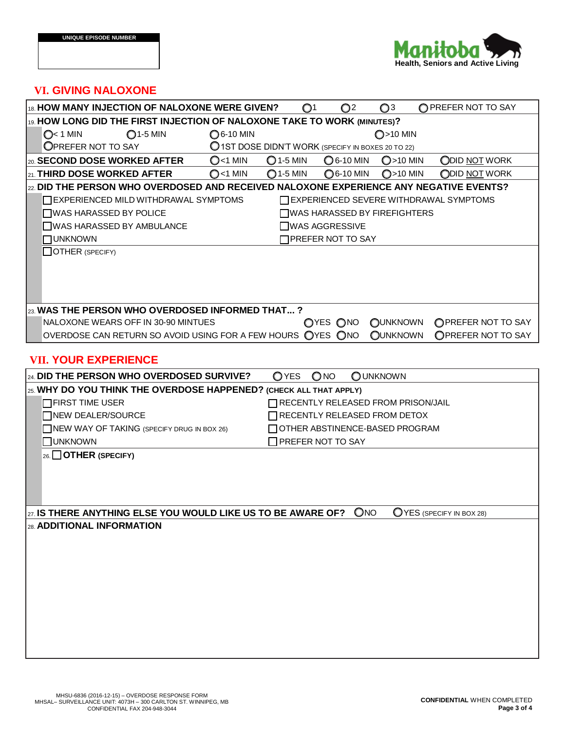

### **VI. GIVING NALOXONE**

| 18. HOW MANY INJECTION OF NALOXONE WERE GIVEN?                                             |                                                                                | $\mathbf{O}^1$     | $\mathbb{O}^2$           | $\mathbb{O}^3$                     | O PREFER NOT TO SAY                           |  |
|--------------------------------------------------------------------------------------------|--------------------------------------------------------------------------------|--------------------|--------------------------|------------------------------------|-----------------------------------------------|--|
| 19. HOW LONG DID THE FIRST INJECTION OF NALOXONE TAKE TO WORK (MINUTES)?                   |                                                                                |                    |                          |                                    |                                               |  |
| $Q1-5$ MIN<br>$Q1$ MIN                                                                     | <b>○</b> 6-10 MIN                                                              |                    |                          | $Q > 10$ MIN                       |                                               |  |
| <b>OPREFER NOT TO SAY</b>                                                                  | O 1ST DOSE DIDN'T WORK (SPECIFY IN BOXES 20 TO 22)                             |                    |                          |                                    |                                               |  |
| l20. <b>SECOND DOSE WORKED AFTER</b>                                                       | $Q$ <1 MIN                                                                     | $O$ 1-5 MIN        | O 6-10 MIN               | $O>10$ MIN                         | ODID NOT WORK                                 |  |
| 21. THIRD DOSE WORKED AFTER                                                                | $O$ <1 MIN                                                                     | $\bigcirc$ 1-5 MIN | ◯6-10 MIN                | $Q>10$ MIN                         | ODID NOT WORK                                 |  |
| $_{22}$ DID THE PERSON WHO OVERDOSED AND RECEIVED NALOXONE EXPERIENCE ANY NEGATIVE EVENTS? |                                                                                |                    |                          |                                    |                                               |  |
| <b>TEXPERIENCED MILD WITHDRAWAL SYMPTOMS</b>                                               |                                                                                |                    |                          |                                    | $\Box$ EXPERIENCED SEVERE WITHDRAWAL SYMPTOMS |  |
| $\Box$ WAS HARASSED BY POLICE                                                              |                                                                                |                    |                          | ∏WAS HARASSED BY FIREFIGHTERS      |                                               |  |
| WAS HARASSED BY AMBULANCE                                                                  |                                                                                |                    | <b>∏WAS AGGRESSIVE</b>   |                                    |                                               |  |
| $\Box$ UNKNOWN                                                                             |                                                                                |                    | $\Box$ PREFER NOT TO SAY |                                    |                                               |  |
| $\Box$ OTHER (SPECIFY)                                                                     |                                                                                |                    |                          |                                    |                                               |  |
|                                                                                            |                                                                                |                    |                          |                                    |                                               |  |
|                                                                                            |                                                                                |                    |                          |                                    |                                               |  |
|                                                                                            |                                                                                |                    |                          |                                    |                                               |  |
| $ _{23}$ WAS THE PERSON WHO OVERDOSED INFORMED THAT ?                                      |                                                                                |                    |                          |                                    |                                               |  |
| NALOXONE WEARS OFF IN 30-90 MINTUES                                                        |                                                                                |                    | OYES ONO                 | <b>OUNKNOWN</b>                    | OPREFER NOT TO SAY                            |  |
| OVERDOSE CAN RETURN SO AVOID USING FOR A FEW HOURS OYES ONO                                |                                                                                |                    |                          | <b>OUNKNOWN</b>                    | OPREFER NOT TO SAY                            |  |
|                                                                                            |                                                                                |                    |                          |                                    |                                               |  |
| <b>VII. YOUR EXPERIENCE</b>                                                                |                                                                                |                    |                          |                                    |                                               |  |
| 24. DID THE PERSON WHO OVERDOSED SURVIVE?                                                  |                                                                                | OYES               | $\bigcirc$ NO            | <b>OUNKNOWN</b>                    |                                               |  |
| 25. WHY DO YOU THINK THE OVERDOSE HAPPENED? (CHECK ALL THAT APPLY)                         |                                                                                |                    |                          |                                    |                                               |  |
| $\Box$ FIRST TIME USER                                                                     |                                                                                |                    |                          | RECENTLY RELEASED FROM PRISON/JAIL |                                               |  |
| □ NEW DEALER/SOURCE                                                                        |                                                                                |                    |                          | RECENTLY RELEASED FROM DETOX       |                                               |  |
|                                                                                            | □ OTHER ABSTINENCE-BASED PROGRAM<br>NEW WAY OF TAKING (SPECIFY DRUG IN BOX 26) |                    |                          |                                    |                                               |  |
| <b>NUNKNOWN</b>                                                                            |                                                                                |                    | PREFER NOT TO SAY        |                                    |                                               |  |
| 26. OTHER (SPECIFY)                                                                        |                                                                                |                    |                          |                                    |                                               |  |
|                                                                                            |                                                                                |                    |                          |                                    |                                               |  |
|                                                                                            |                                                                                |                    |                          |                                    |                                               |  |
|                                                                                            |                                                                                |                    |                          |                                    |                                               |  |
| $\frac{27.1}{3}$ IS THERE ANYTHING ELSE YOU WOULD LIKE US TO BE AWARE OF? ONO              |                                                                                |                    |                          |                                    | OYES (SPECIFY IN BOX 28)                      |  |
| 28. ADDITIONAL INFORMATION                                                                 |                                                                                |                    |                          |                                    |                                               |  |
|                                                                                            |                                                                                |                    |                          |                                    |                                               |  |
|                                                                                            |                                                                                |                    |                          |                                    |                                               |  |
|                                                                                            |                                                                                |                    |                          |                                    |                                               |  |
|                                                                                            |                                                                                |                    |                          |                                    |                                               |  |
|                                                                                            |                                                                                |                    |                          |                                    |                                               |  |
|                                                                                            |                                                                                |                    |                          |                                    |                                               |  |
|                                                                                            |                                                                                |                    |                          |                                    |                                               |  |
|                                                                                            |                                                                                |                    |                          |                                    |                                               |  |
|                                                                                            |                                                                                |                    |                          |                                    |                                               |  |